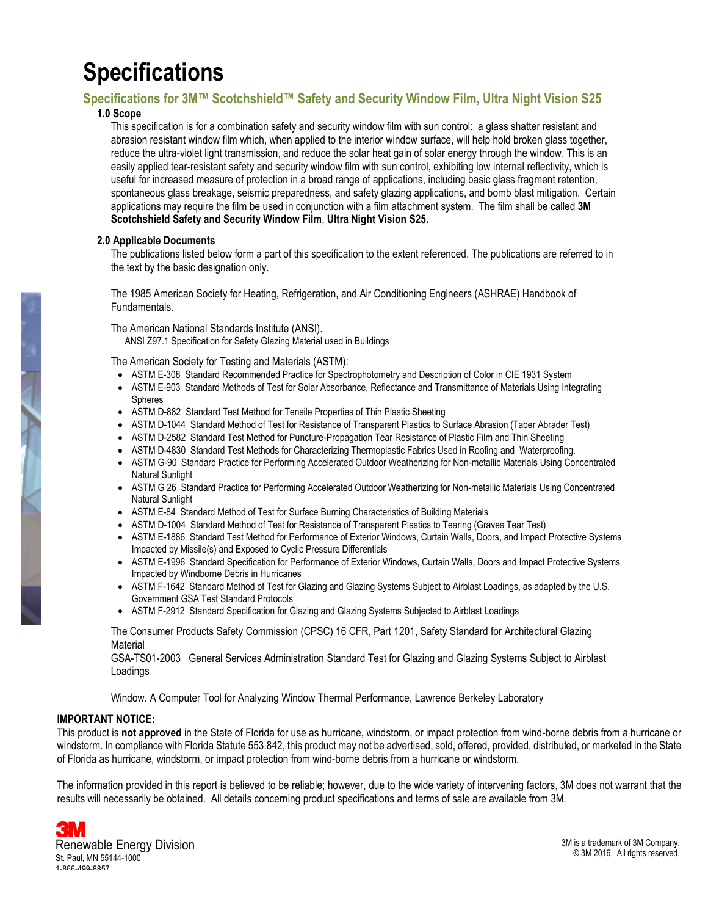# **Specifications**

### **Specifications for 3M™ Scotchshield™ Safety and Security Window Film, Ultra Night Vision S25**

#### **1.0 Scope**

This specification is for a combination safety and security window film with sun control: a glass shatter resistant and abrasion resistant window film which, when applied to the interior window surface, will help hold broken glass together, reduce the ultra-violet light transmission, and reduce the solar heat gain of solar energy through the window. This is an easily applied tear-resistant safety and security window film with sun control, exhibiting low internal reflectivity, which is useful for increased measure of protection in a broad range of applications, including basic glass fragment retention, spontaneous glass breakage, seismic preparedness, and safety glazing applications, and bomb blast mitigation. Certain applications may require the film be used in conjunction with a film attachment system. The film shall be called **3M Scotchshield Safety and Security Window Film**, **Ultra Night Vision S25.**

#### **2.0 Applicable Documents**

The publications listed below form a part of this specification to the extent referenced. The publications are referred to in the text by the basic designation only.

The 1985 American Society for Heating, Refrigeration, and Air Conditioning Engineers (ASHRAE) Handbook of Fundamentals.

The American National Standards Institute (ANSI).

ANSI Z97.1 Specification for Safety Glazing Material used in Buildings

The American Society for Testing and Materials (ASTM):

- ASTM E-308 Standard Recommended Practice for Spectrophotometry and Description of Color in CIE 1931 System
- ASTM E-903 Standard Methods of Test for Solar Absorbance, Reflectance and Transmittance of Materials Using Integrating **Spheres**
- ASTM D-882 Standard Test Method for Tensile Properties of Thin Plastic Sheeting
- ASTM D-1044 Standard Method of Test for Resistance of Transparent Plastics to Surface Abrasion (Taber Abrader Test)
- ASTM D-2582 Standard Test Method for Puncture-Propagation Tear Resistance of Plastic Film and Thin Sheeting
- ASTM D-4830 Standard Test Methods for Characterizing Thermoplastic Fabrics Used in Roofing and Waterproofing.
- ASTM G-90 Standard Practice for Performing Accelerated Outdoor Weatherizing for Non-metallic Materials Using Concentrated Natural Sunlight
- ASTM G 26 Standard Practice for Performing Accelerated Outdoor Weatherizing for Non-metallic Materials Using Concentrated Natural Sunlight
- ASTM E-84 Standard Method of Test for Surface Burning Characteristics of Building Materials
- ASTM D-1004 Standard Method of Test for Resistance of Transparent Plastics to Tearing (Graves Tear Test)
- x ASTM E-1886 Standard Test Method for Performance of Exterior Windows, Curtain Walls, Doors, and Impact Protective Systems Impacted by Missile(s) and Exposed to Cyclic Pressure Differentials
- ASTM E-1996 Standard Specification for Performance of Exterior Windows, Curtain Walls, Doors and Impact Protective Systems Impacted by Windborne Debris in Hurricanes
- ASTM F-1642 Standard Method of Test for Glazing and Glazing Systems Subject to Airblast Loadings, as adapted by the U.S. Government GSA Test Standard Protocols
- ASTM F-2912 Standard Specification for Glazing and Glazing Systems Subjected to Airblast Loadings

The Consumer Products Safety Commission (CPSC) 16 CFR, Part 1201, Safety Standard for Architectural Glazing **Material** 

GSA-TS01-2003 General Services Administration Standard Test for Glazing and Glazing Systems Subject to Airblast Loadings

Window. A Computer Tool for Analyzing Window Thermal Performance, Lawrence Berkeley Laboratory

#### **IMPORTANT NOTICE:**

This product is **not approved** in the State of Florida for use as hurricane, windstorm, or impact protection from wind-borne debris from a hurricane or windstorm. In compliance with Florida Statute 553.842, this product may not be advertised, sold, offered, provided, distributed, or marketed in the State of Florida as hurricane, windstorm, or impact protection from wind-borne debris from a hurricane or windstorm.

The information provided in this report is believed to be reliable; however, due to the wide variety of intervening factors, 3M does not warrant that the results will necessarily be obtained. All details concerning product specifications and terms of sale are available from 3M.

Renewable Energy Division St. Paul, MN 55144-1000 1-866-499-8857

3M is a trademark of 3M Company. © 3M 2016. All rights reserved.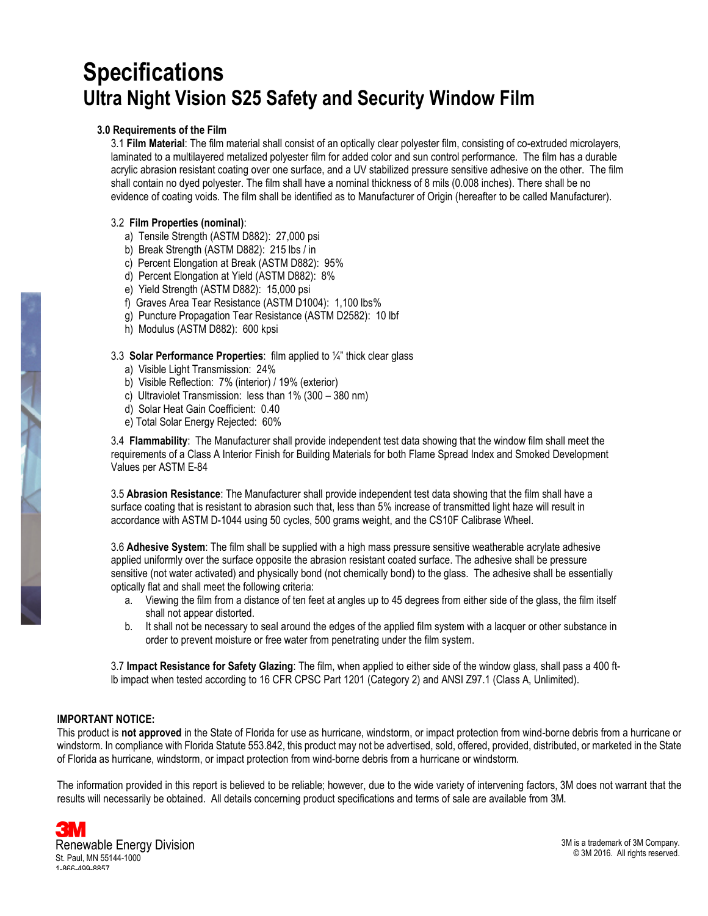## **Specifications Ultra Night Vision S25 Safety and Security Window Film**

### **3.0 Requirements of the Film**

3.1 **Film Material**: The film material shall consist of an optically clear polyester film, consisting of co-extruded microlayers, laminated to a multilayered metalized polyester film for added color and sun control performance. The film has a durable acrylic abrasion resistant coating over one surface, and a UV stabilized pressure sensitive adhesive on the other. The film shall contain no dyed polyester. The film shall have a nominal thickness of 8 mils (0.008 inches). There shall be no evidence of coating voids. The film shall be identified as to Manufacturer of Origin (hereafter to be called Manufacturer).

#### 3.2 **Film Properties (nominal)**:

- a) Tensile Strength (ASTM D882): 27,000 psi
- b) Break Strength (ASTM D882): 215 lbs / in
- c) Percent Elongation at Break (ASTM D882): 95%
- d) Percent Elongation at Yield (ASTM D882): 8%
- e) Yield Strength (ASTM D882): 15,000 psi
- f) Graves Area Tear Resistance (ASTM D1004): 1,100 lbs%
- g) Puncture Propagation Tear Resistance (ASTM D2582): 10 lbf
- h) Modulus (ASTM D882): 600 kpsi

#### 3.3 **Solar Performance Properties**: film applied to ¼" thick clear glass

- a) Visible Light Transmission: 24%
- b) Visible Reflection: 7% (interior) / 19% (exterior)
- c) Ultraviolet Transmission: less than 1% (300 380 nm)
- d) Solar Heat Gain Coefficient: 0.40
- e) Total Solar Energy Rejected: 60%

3.4 **Flammability**: The Manufacturer shall provide independent test data showing that the window film shall meet the requirements of a Class A Interior Finish for Building Materials for both Flame Spread Index and Smoked Development Values per ASTM E-84

3.5 **Abrasion Resistance**: The Manufacturer shall provide independent test data showing that the film shall have a surface coating that is resistant to abrasion such that, less than 5% increase of transmitted light haze will result in accordance with ASTM D-1044 using 50 cycles, 500 grams weight, and the CS10F Calibrase Wheel.

3.6 **Adhesive System**: The film shall be supplied with a high mass pressure sensitive weatherable acrylate adhesive applied uniformly over the surface opposite the abrasion resistant coated surface. The adhesive shall be pressure sensitive (not water activated) and physically bond (not chemically bond) to the glass. The adhesive shall be essentially optically flat and shall meet the following criteria:

- a. Viewing the film from a distance of ten feet at angles up to 45 degrees from either side of the glass, the film itself shall not appear distorted.
- b. It shall not be necessary to seal around the edges of the applied film system with a lacquer or other substance in order to prevent moisture or free water from penetrating under the film system.

3.7 **Impact Resistance for Safety Glazing**: The film, when applied to either side of the window glass, shall pass a 400 ftlb impact when tested according to 16 CFR CPSC Part 1201 (Category 2) and ANSI Z97.1 (Class A, Unlimited).

#### **IMPORTANT NOTICE:**

This product is **not approved** in the State of Florida for use as hurricane, windstorm, or impact protection from wind-borne debris from a hurricane or windstorm. In compliance with Florida Statute 553.842, this product may not be advertised, sold, offered, provided, distributed, or marketed in the State of Florida as hurricane, windstorm, or impact protection from wind-borne debris from a hurricane or windstorm.

The information provided in this report is believed to be reliable; however, due to the wide variety of intervening factors, 3M does not warrant that the results will necessarily be obtained. All details concerning product specifications and terms of sale are available from 3M.

Renewable Energy Division St. Paul, MN 55144-1000 1-866-499-8857

3M is a trademark of 3M Company. © 3M 2016. All rights reserved.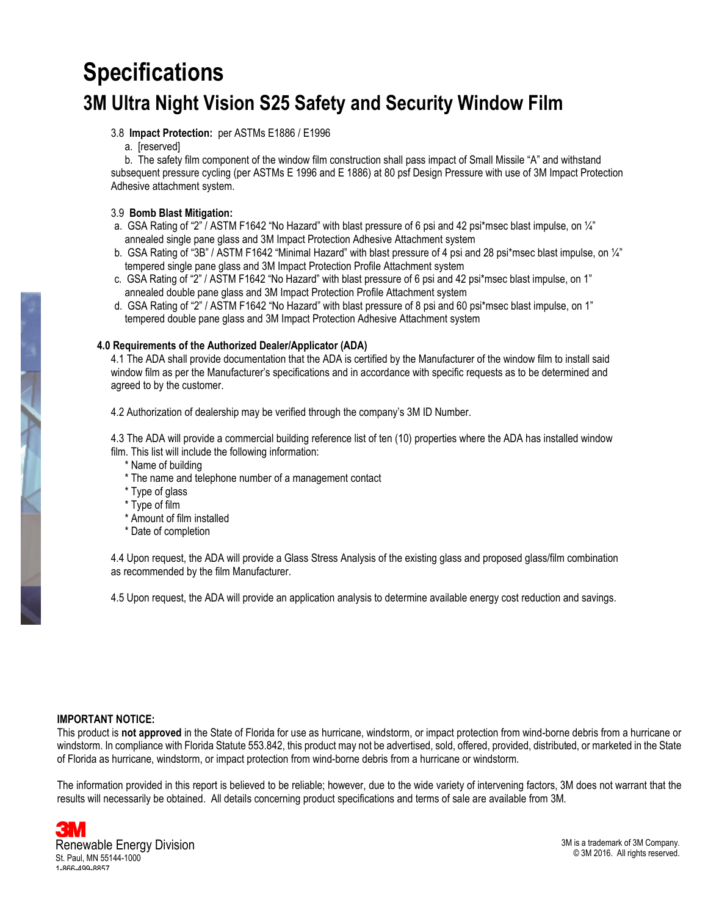# **Specifications**

## **3M Ultra Night Vision S25 Safety and Security Window Film**

3.8 **Impact Protection:** per ASTMs E1886 / E1996

a. [reserved]

b. The safety film component of the window film construction shall pass impact of Small Missile "A" and withstand subsequent pressure cycling (per ASTMs E 1996 and E 1886) at 80 psf Design Pressure with use of 3M Impact Protection Adhesive attachment system.

### 3.9 **Bomb Blast Mitigation:**

- a. GSA Rating of "2" / ASTM F1642 "No Hazard" with blast pressure of 6 psi and 42 psi\*msec blast impulse, on ¼" annealed single pane glass and 3M Impact Protection Adhesive Attachment system
- b. GSA Rating of "3B" / ASTM F1642 "Minimal Hazard" with blast pressure of 4 psi and 28 psi\*msec blast impulse, on 1/4" tempered single pane glass and 3M Impact Protection Profile Attachment system
- c. GSA Rating of "2" / ASTM F1642 "No Hazard" with blast pressure of 6 psi and 42 psi\*msec blast impulse, on 1" annealed double pane glass and 3M Impact Protection Profile Attachment system
- d. GSA Rating of "2" / ASTM F1642 "No Hazard" with blast pressure of 8 psi and 60 psi\*msec blast impulse, on 1" tempered double pane glass and 3M Impact Protection Adhesive Attachment system

#### **4.0 Requirements of the Authorized Dealer/Applicator (ADA)**

4.1 The ADA shall provide documentation that the ADA is certified by the Manufacturer of the window film to install said window film as per the Manufacturer's specifications and in accordance with specific requests as to be determined and agreed to by the customer.

4.2 Authorization of dealership may be verified through the company's 3M ID Number.

4.3 The ADA will provide a commercial building reference list of ten (10) properties where the ADA has installed window film. This list will include the following information:

- \* Name of building
- \* The name and telephone number of a management contact
- \* Type of glass
- \* Type of film
- \* Amount of film installed
- \* Date of completion

4.4 Upon request, the ADA will provide a Glass Stress Analysis of the existing glass and proposed glass/film combination as recommended by the film Manufacturer.

4.5 Upon request, the ADA will provide an application analysis to determine available energy cost reduction and savings.

#### **IMPORTANT NOTICE:**

This product is **not approved** in the State of Florida for use as hurricane, windstorm, or impact protection from wind-borne debris from a hurricane or windstorm. In compliance with Florida Statute 553.842, this product may not be advertised, sold, offered, provided, distributed, or marketed in the State of Florida as hurricane, windstorm, or impact protection from wind-borne debris from a hurricane or windstorm.

The information provided in this report is believed to be reliable; however, due to the wide variety of intervening factors, 3M does not warrant that the results will necessarily be obtained. All details concerning product specifications and terms of sale are available from 3M.

Renewable Energy Division St. Paul, MN 55144-1000 1-866-499-8857